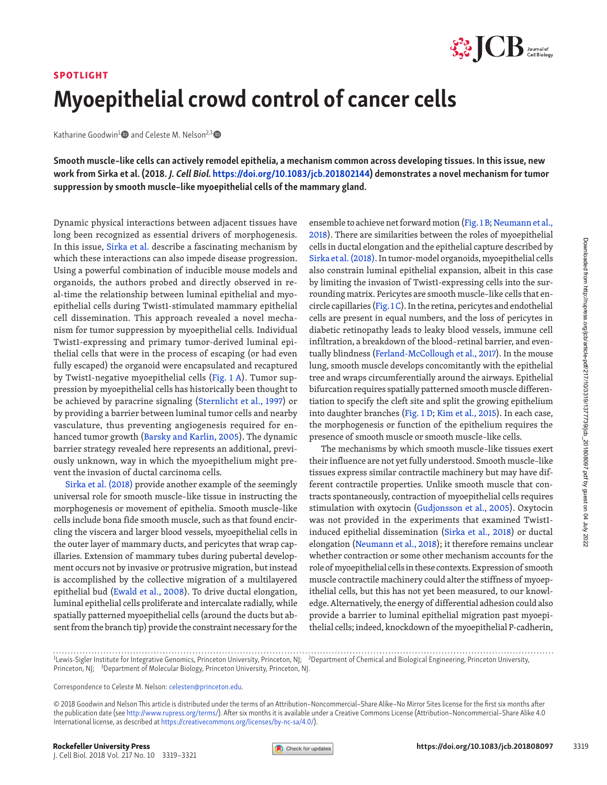

## SPOTLIGHT Myoepithelial crowd control of cancer cells

Katharine Goodwin<sup>1</sup> and Celeste M. Nelson<sup>2,3</sup>

Smooth muscle–like cells can actively remodel epithelia, a mechanism common across developing tissues. In this issue, new work from Sirka et al. (2018. J. Cell Biol. <https://doi.org/10.1083/jcb.201802144>) demonstrates a novel mechanism for tumor suppression by smooth muscle–like myoepithelial cells of the mammary gland.

Dymamic physical interactions between adjacent tissues have have between adjacent intissues, Sirka et al. describe a fascinating mechanism by which these interactions can also impede dissear progression. In this issue, Si long been recognized as essential drivers of morphogenesis. In this issue, [Sirka et al.](https://doi.org/10.1083/jcb.201802144) describe a fascinating mechanism by which these interactions can also impede disease progression. Using a powerful combination of inducible mouse models and organoids, the authors probed and directly observed in real-time the relationship between luminal epithelial and myoepithelial cells during Twist1-stimulated mammary epithelial cell dissemination. This approach revealed a novel mechanism for tumor suppression by myoepithelial cells. Individual Twist1-expressing and primary tumor-derived luminal epithelial cells that were in the process of escaping (or had even fully escaped) the organoid were encapsulated and recaptured by Twist1-negative myoepithelial cells ([Fig. 1 A\)](#page-1-0). Tumor suppression by myoepithelial cells has historically been thought to be achieved by paracrine signaling [\(Sternlicht et al., 1997](#page-2-0)) or by providing a barrier between luminal tumor cells and nearby vasculature, thus preventing angiogenesis required for enhanced tumor growth [\(Barsky and Karlin, 2005](#page-1-1)). The dynamic barrier strategy revealed here represents an additional, previously unknown, way in which the myoepithelium might prevent the invasion of ductal carcinoma cells.

[Sirka et al. \(2018\)](#page-2-1) provide another example of the seemingly universal role for smooth muscle–like tissue in instructing the morphogenesis or movement of epithelia. Smooth muscle–like cells include bona fide smooth muscle, such as that found encircling the viscera and larger blood vessels, myoepithelial cells in the outer layer of mammary ducts, and pericytes that wrap capillaries. Extension of mammary tubes during pubertal development occurs not by invasive or protrusive migration, but instead is accomplished by the collective migration of a multilayered epithelial bud ([Ewald et al., 2008\)](#page-1-2). To drive ductal elongation, luminal epithelial cells proliferate and intercalate radially, while spatially patterned myoepithelial cells (around the ducts but absent from the branch tip) provide the constraint necessary for the

ensemble to achieve net forward motion ([Fig. 1 B](#page-1-0); [Neumann et al.,](#page-2-2) [2018](#page-2-2)). There are similarities between the roles of myoepithelial cells in ductal elongation and the epithelial capture described by [Sirka et al. \(2018\)](#page-2-1). In tumor-model organoids, myoepithelial cells also constrain luminal epithelial expansion, albeit in this case by limiting the invasion of Twist1-expressing cells into the surrounding matrix. Pericytes are smooth muscle–like cells that encircle capillaries ([Fig. 1 C\)](#page-1-0). In the retina, pericytes and endothelial cells are present in equal numbers, and the loss of pericytes in diabetic retinopathy leads to leaky blood vessels, immune cell infiltration, a breakdown of the blood–retinal barrier, and eventually blindness ([Ferland-McCollough et al., 2017](#page-1-3)). In the mouse lung, smooth muscle develops concomitantly with the epithelial tree and wraps circumferentially around the airways. Epithelial bifurcation requires spatially patterned smooth muscle differentiation to specify the cleft site and split the growing epithelium into daughter branches [\(Fig. 1 D](#page-1-0); [Kim et al., 2015\)](#page-1-4). In each case, the morphogenesis or function of the epithelium requires the presence of smooth muscle or smooth muscle–like cells.

The mechanisms by which smooth muscle–like tissues exert their influence are not yet fully understood. Smooth muscle–like tissues express similar contractile machinery but may have different contractile properties. Unlike smooth muscle that contracts spontaneously, contraction of myoepithelial cells requires stimulation with oxytocin ([Gudjonsson et al., 2005](#page-1-5)). Oxytocin was not provided in the experiments that examined Twist1 induced epithelial dissemination ([Sirka et al., 2018\)](#page-2-1) or ductal elongation [\(Neumann et al., 2018](#page-2-2)); it therefore remains unclear whether contraction or some other mechanism accounts for the role of myoepithelial cells in these contexts. Expression of smooth muscle contractile machinery could alter the stiffness of myoepithelial cells, but this has not yet been measured, to our knowledge. Alternatively, the energy of differential adhesion could also provide a barrier to luminal epithelial migration past myoepithelial cells; indeed, knockdown of the myoepithelial P-cadherin,

Correspondence to Celeste M. Nelson: [celesten@princeton.edu.](mailto:celesten@princeton.edu)

<sup>&</sup>lt;sup>1</sup>Lewis-Sigler Institute for Integrative Genomics, Princeton University, Princeton, NJ; <sup>2</sup>Department of Chemical and Biological Engineering, Princeton University, Princeton, NJ; <sup>3</sup>Department of Molecular Biology, Princeton University, Princeton, NJ.

<sup>© 2018</sup> Goodwin and Nelson This article is distributed under the terms of an Attribution–Noncommercial–Share Alike–No Mirror Sites license for the first six months after the publication date (see <http://www.rupress.org/terms/>). After six months it is available under a Creative Commons License (Attribution–Noncommercial–Share Alike 4.0 International license, as described at [https://creativecommons.org/licenses/by-nc-sa/4.0/\)](https://creativecommons.org/licenses/by-nc-sa/4.0/).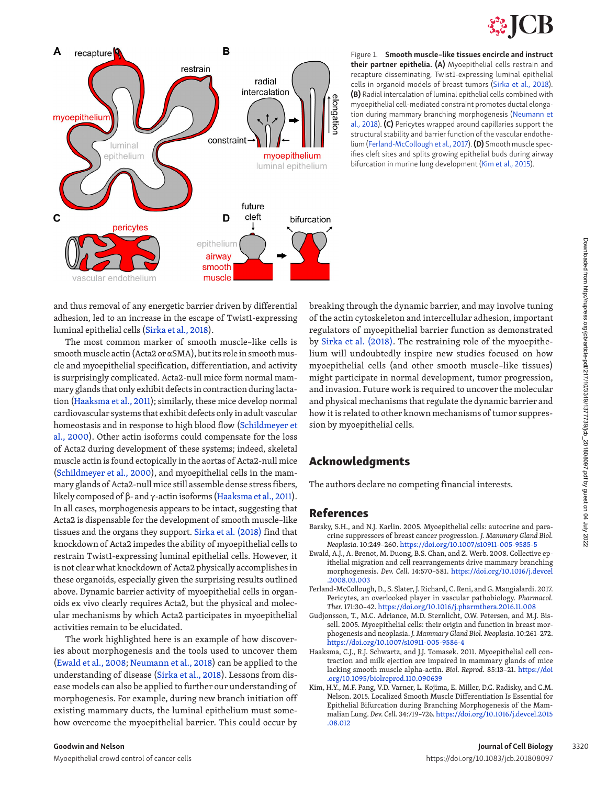



<span id="page-1-0"></span>Figure 1. Smooth muscle–like tissues encircle and instruct their partner epithelia. (A) Myoepithelial cells restrain and recapture disseminating, Twist1-expressing luminal epithelial cells in organoid models of breast tumors ([Sirka et al., 2018\)](#page-2-1). (B) Radial intercalation of luminal epithelial cells combined with myoepithelial cell-mediated constraint promotes ductal elongation during mammary branching morphogenesis [\(Neumann et](#page-2-2)  [al., 2018](#page-2-2)). (C) Pericytes wrapped around capillaries support the structural stability and barrier function of the vascular endothelium ([Ferland-McCollough et al., 2017](#page-1-3)). (D) Smooth muscle specifies cleft sites and splits growing epithelial buds during airway bifurcation in murine lung development [\(Kim et al., 2015\)](#page-1-4).

and thus removal of any energetic barrier driven by differential adhesion, led to an increase in the escape of Twist1-expressing luminal epithelial cells ([Sirka et al., 2018](#page-2-1)).

The most common marker of smooth muscle–like cells is smooth muscle actin (Acta2 or αSMA), but its role in smooth muscle and myoepithelial specification, differentiation, and activity is surprisingly complicated. Acta2-null mice form normal mammary glands that only exhibit defects in contraction during lactation ([Haaksma et al., 2011\)](#page-1-6); similarly, these mice develop normal cardiovascular systems that exhibit defects only in adult vascular homeostasis and in response to high blood flow [\(Schildmeyer et](#page-2-3) [al., 2000](#page-2-3)). Other actin isoforms could compensate for the loss of Acta2 during development of these systems; indeed, skeletal muscle actin is found ectopically in the aortas of Acta2-null mice [\(Schildmeyer et al., 2000](#page-2-3)), and myoepithelial cells in the mammary glands of Acta2-null mice still assemble dense stress fibers, likely composed of β- and  $γ$ -actin isoforms ([Haaksma et al., 2011](#page-1-6)). In all cases, morphogenesis appears to be intact, suggesting that Acta2 is dispensable for the development of smooth muscle–like tissues and the organs they support. [Sirka et al. \(2018\)](#page-2-1) find that knockdown of Acta2 impedes the ability of myoepithelial cells to restrain Twist1-expressing luminal epithelial cells. However, it is not clear what knockdown of Acta2 physically accomplishes in these organoids, especially given the surprising results outlined above. Dynamic barrier activity of myoepithelial cells in organoids ex vivo clearly requires Acta2, but the physical and molecular mechanisms by which Acta2 participates in myoepithelial activities remain to be elucidated.

The work highlighted here is an example of how discoveries about morphogenesis and the tools used to uncover them [\(Ewald et al., 2008](#page-1-2); [Neumann et al., 2018](#page-2-2)) can be applied to the understanding of disease [\(Sirka et al., 2018](#page-2-1)). Lessons from disease models can also be applied to further our understanding of morphogenesis. For example, during new branch initiation off existing mammary ducts, the luminal epithelium must somehow overcome the myoepithelial barrier. This could occur by

breaking through the dynamic barrier, and may involve tuning of the actin cytoskeleton and intercellular adhesion, important regulators of myoepithelial barrier function as demonstrated by [Sirka et al. \(2018\)](#page-2-1). The restraining role of the myoepithelium will undoubtedly inspire new studies focused on how myoepithelial cells (and other smooth muscle–like tissues) might participate in normal development, tumor progression, and invasion. Future work is required to uncover the molecular and physical mechanisms that regulate the dynamic barrier and how it is related to other known mechanisms of tumor suppression by myoepithelial cells.

## Acknowledgments

The authors declare no competing financial interests.

## References

- <span id="page-1-1"></span>Barsky, S.H., and N.J. Karlin. 2005. Myoepithelial cells: autocrine and paracrine suppressors of breast cancer progression. *J. Mammary Gland Biol. Neoplasia.* 10:249–260. <https://doi.org/10.1007/s10911-005-9585-5>
- <span id="page-1-2"></span>Ewald, A.J., A. Brenot, M. Duong, B.S. Chan, and Z. Werb. 2008. Collective epithelial migration and cell rearrangements drive mammary branching morphogenesis. *Dev. Cell.* 14:570–581. [https://doi.org/10.1016/j.devcel](https://doi.org/10.1016/j.devcel.2008.03.003) [.2008.03.003](https://doi.org/10.1016/j.devcel.2008.03.003)
- <span id="page-1-3"></span>Ferland-McCollough, D., S. Slater, J. Richard, C. Reni, and G. Mangialardi. 2017. Pericytes, an overlooked player in vascular pathobiology. *Pharmacol. Ther.* 171:30–42.<https://doi.org/10.1016/j.pharmthera.2016.11.008>
- <span id="page-1-5"></span>Gudjonsson, T., M.C. Adriance, M.D. Sternlicht, O.W. Petersen, and M.J. Bissell. 2005. Myoepithelial cells: their origin and function in breast morphogenesis and neoplasia. *J. Mammary Gland Biol. Neoplasia.* 10:261–272. <https://doi.org/10.1007/s10911-005-9586-4>
- <span id="page-1-6"></span>Haaksma, C.J., R.J. Schwartz, and J.J. Tomasek. 2011. Myoepithelial cell contraction and milk ejection are impaired in mammary glands of mice lacking smooth muscle alpha-actin. *Biol. Reprod.* 85:13–21. [https://doi](https://doi.org/10.1095/biolreprod.110.090639) [.org/10.1095/biolreprod.110.090639](https://doi.org/10.1095/biolreprod.110.090639)
- <span id="page-1-4"></span>Kim, H.Y., M.F. Pang, V.D. Varner, L. Kojima, E. Miller, D.C. Radisky, and C.M. Nelson. 2015. Localized Smooth Muscle Differentiation Is Essential for Epithelial Bifurcation during Branching Morphogenesis of the Mammalian Lung. *Dev. Cell.* 34:719–726. [https://doi.org/10.1016/j.devcel.2015](https://doi.org/10.1016/j.devcel.2015.08.012) [.08.012](https://doi.org/10.1016/j.devcel.2015.08.012)

Myoepithelial crowd control of cancer cells